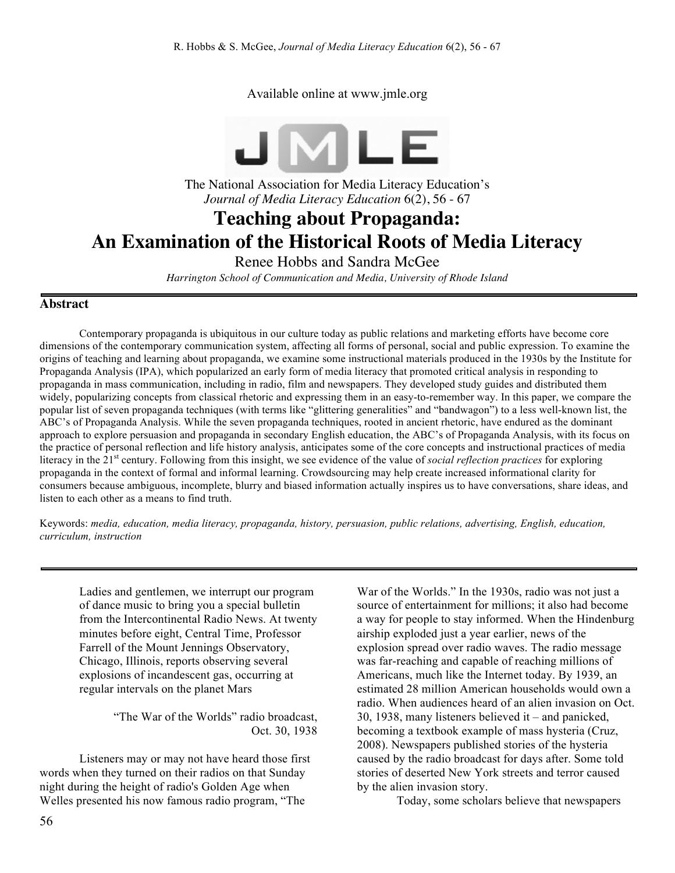Available online at www.jmle.org



The National Association for Media Literacy Education's *Journal of Media Literacy Education* 6(2), 56 - 67

# **Teaching about Propaganda: An Examination of the Historical Roots of Media Literacy**

Renee Hobbs and Sandra McGee

*Harrington School of Communication and Media, University of Rhode Island*

### **Abstract**

Contemporary propaganda is ubiquitous in our culture today as public relations and marketing efforts have become core dimensions of the contemporary communication system, affecting all forms of personal, social and public expression. To examine the origins of teaching and learning about propaganda, we examine some instructional materials produced in the 1930s by the Institute for Propaganda Analysis (IPA), which popularized an early form of media literacy that promoted critical analysis in responding to propaganda in mass communication, including in radio, film and newspapers. They developed study guides and distributed them widely, popularizing concepts from classical rhetoric and expressing them in an easy-to-remember way. In this paper, we compare the popular list of seven propaganda techniques (with terms like "glittering generalities" and "bandwagon") to a less well-known list, the ABC's of Propaganda Analysis. While the seven propaganda techniques, rooted in ancient rhetoric, have endured as the dominant approach to explore persuasion and propaganda in secondary English education, the ABC's of Propaganda Analysis, with its focus on the practice of personal reflection and life history analysis, anticipates some of the core concepts and instructional practices of media literacy in the 21st century. Following from this insight, we see evidence of the value of *social reflection practices* for exploring propaganda in the context of formal and informal learning. Crowdsourcing may help create increased informational clarity for consumers because ambiguous, incomplete, blurry and biased information actually inspires us to have conversations, share ideas, and listen to each other as a means to find truth.

Keywords: *media, education, media literacy, propaganda, history, persuasion, public relations, advertising, English, education, curriculum, instruction* 

Ladies and gentlemen, we interrupt our program of dance music to bring you a special bulletin from the Intercontinental Radio News. At twenty minutes before eight, Central Time, Professor Farrell of the Mount Jennings Observatory, Chicago, Illinois, reports observing several explosions of incandescent gas, occurring at regular intervals on the planet Mars

> "The War of the Worlds" radio broadcast, Oct. 30, 1938

Listeners may or may not have heard those first words when they turned on their radios on that Sunday night during the height of radio's Golden Age when Welles presented his now famous radio program, "The

War of the Worlds." In the 1930s, radio was not just a source of entertainment for millions; it also had become a way for people to stay informed. When the Hindenburg airship exploded just a year earlier, news of the explosion spread over radio waves. The radio message was far-reaching and capable of reaching millions of Americans, much like the Internet today. By 1939, an estimated 28 million American households would own a radio. When audiences heard of an alien invasion on Oct. 30, 1938, many listeners believed it – and panicked, becoming a textbook example of mass hysteria (Cruz, 2008). Newspapers published stories of the hysteria caused by the radio broadcast for days after. Some told stories of deserted New York streets and terror caused by the alien invasion story.

Today, some scholars believe that newspapers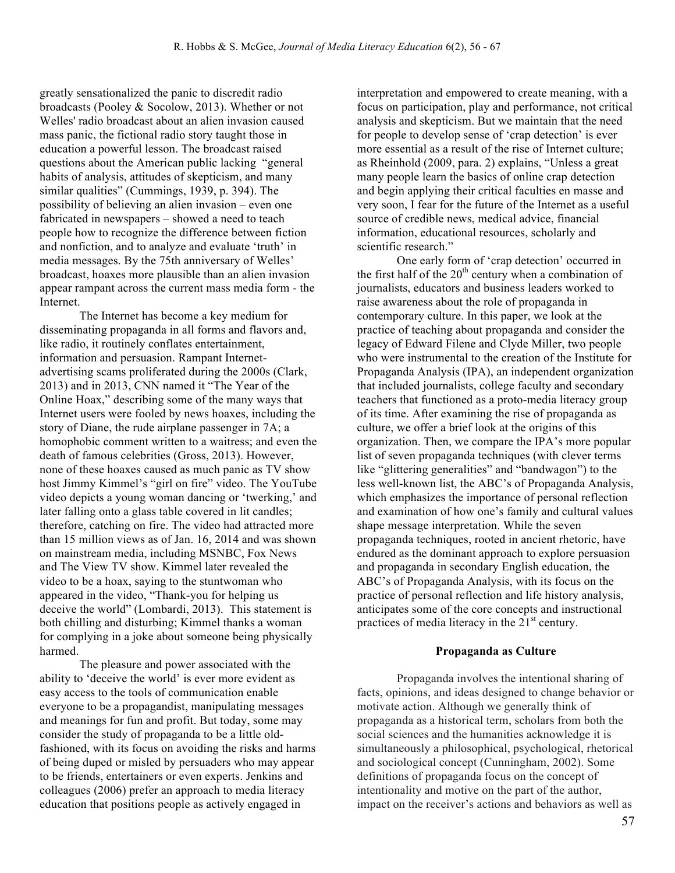greatly sensationalized the panic to discredit radio broadcasts (Pooley & Socolow, 2013). Whether or not Welles' radio broadcast about an alien invasion caused mass panic, the fictional radio story taught those in education a powerful lesson. The broadcast raised questions about the American public lacking "general habits of analysis, attitudes of skepticism, and many similar qualities" (Cummings, 1939, p. 394). The possibility of believing an alien invasion – even one fabricated in newspapers – showed a need to teach people how to recognize the difference between fiction and nonfiction, and to analyze and evaluate 'truth' in media messages. By the 75th anniversary of Welles' broadcast, hoaxes more plausible than an alien invasion appear rampant across the current mass media form - the Internet.

The Internet has become a key medium for disseminating propaganda in all forms and flavors and, like radio, it routinely conflates entertainment, information and persuasion. Rampant Internetadvertising scams proliferated during the 2000s (Clark, 2013) and in 2013, CNN named it "The Year of the Online Hoax," describing some of the many ways that Internet users were fooled by news hoaxes, including the story of Diane, the rude airplane passenger in 7A; a homophobic comment written to a waitress; and even the death of famous celebrities (Gross, 2013). However, none of these hoaxes caused as much panic as TV show host Jimmy Kimmel's "girl on fire" video. The YouTube video depicts a young woman dancing or 'twerking,' and later falling onto a glass table covered in lit candles; therefore, catching on fire. The video had attracted more than 15 million views as of Jan. 16, 2014 and was shown on mainstream media, including MSNBC, Fox News and The View TV show. Kimmel later revealed the video to be a hoax, saying to the stuntwoman who appeared in the video, "Thank-you for helping us deceive the world" (Lombardi, 2013). This statement is both chilling and disturbing; Kimmel thanks a woman for complying in a joke about someone being physically harmed.

The pleasure and power associated with the ability to 'deceive the world' is ever more evident as easy access to the tools of communication enable everyone to be a propagandist, manipulating messages and meanings for fun and profit. But today, some may consider the study of propaganda to be a little oldfashioned, with its focus on avoiding the risks and harms of being duped or misled by persuaders who may appear to be friends, entertainers or even experts. Jenkins and colleagues (2006) prefer an approach to media literacy education that positions people as actively engaged in

interpretation and empowered to create meaning, with a focus on participation, play and performance, not critical analysis and skepticism. But we maintain that the need for people to develop sense of 'crap detection' is ever more essential as a result of the rise of Internet culture; as Rheinhold (2009, para. 2) explains, "Unless a great many people learn the basics of online crap detection and begin applying their critical faculties en masse and very soon, I fear for the future of the Internet as a useful source of credible news, medical advice, financial information, educational resources, scholarly and scientific research."

One early form of 'crap detection' occurred in the first half of the  $20<sup>th</sup>$  century when a combination of journalists, educators and business leaders worked to raise awareness about the role of propaganda in contemporary culture. In this paper, we look at the practice of teaching about propaganda and consider the legacy of Edward Filene and Clyde Miller, two people who were instrumental to the creation of the Institute for Propaganda Analysis (IPA), an independent organization that included journalists, college faculty and secondary teachers that functioned as a proto-media literacy group of its time. After examining the rise of propaganda as culture, we offer a brief look at the origins of this organization. Then, we compare the IPA's more popular list of seven propaganda techniques (with clever terms like "glittering generalities" and "bandwagon") to the less well-known list, the ABC's of Propaganda Analysis, which emphasizes the importance of personal reflection and examination of how one's family and cultural values shape message interpretation. While the seven propaganda techniques, rooted in ancient rhetoric, have endured as the dominant approach to explore persuasion and propaganda in secondary English education, the ABC's of Propaganda Analysis, with its focus on the practice of personal reflection and life history analysis, anticipates some of the core concepts and instructional practices of media literacy in the  $21<sup>st</sup>$  century.

#### **Propaganda as Culture**

Propaganda involves the intentional sharing of facts, opinions, and ideas designed to change behavior or motivate action. Although we generally think of propaganda as a historical term, scholars from both the social sciences and the humanities acknowledge it is simultaneously a philosophical, psychological, rhetorical and sociological concept (Cunningham, 2002). Some definitions of propaganda focus on the concept of intentionality and motive on the part of the author, impact on the receiver's actions and behaviors as well as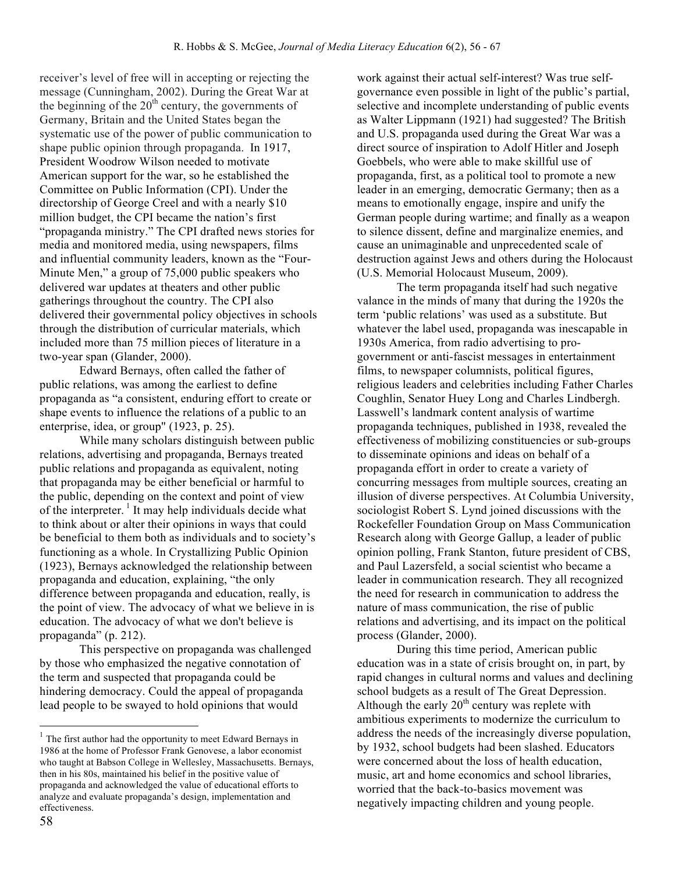receiver's level of free will in accepting or rejecting the message (Cunningham, 2002). During the Great War at the beginning of the  $20<sup>th</sup>$  century, the governments of Germany, Britain and the United States began the systematic use of the power of public communication to shape public opinion through propaganda. In 1917, President Woodrow Wilson needed to motivate American support for the war, so he established the Committee on Public Information (CPI). Under the directorship of George Creel and with a nearly \$10 million budget, the CPI became the nation's first "propaganda ministry." The CPI drafted news stories for media and monitored media, using newspapers, films and influential community leaders, known as the "Four-Minute Men," a group of 75,000 public speakers who delivered war updates at theaters and other public gatherings throughout the country. The CPI also delivered their governmental policy objectives in schools through the distribution of curricular materials, which included more than 75 million pieces of literature in a two-year span (Glander, 2000).

Edward Bernays, often called the father of public relations, was among the earliest to define propaganda as "a consistent, enduring effort to create or shape events to influence the relations of a public to an enterprise, idea, or group" (1923, p. 25).

While many scholars distinguish between public relations, advertising and propaganda, Bernays treated public relations and propaganda as equivalent, noting that propaganda may be either beneficial or harmful to the public, depending on the context and point of view of the interpreter.  $\frac{1}{1}$  It may help individuals decide what to think about or alter their opinions in ways that could be beneficial to them both as individuals and to society's functioning as a whole. In Crystallizing Public Opinion (1923), Bernays acknowledged the relationship between propaganda and education, explaining, "the only difference between propaganda and education, really, is the point of view. The advocacy of what we believe in is education. The advocacy of what we don't believe is propaganda" (p. 212).

This perspective on propaganda was challenged by those who emphasized the negative connotation of the term and suspected that propaganda could be hindering democracy. Could the appeal of propaganda lead people to be swayed to hold opinions that would

work against their actual self-interest? Was true selfgovernance even possible in light of the public's partial, selective and incomplete understanding of public events as Walter Lippmann (1921) had suggested? The British and U.S. propaganda used during the Great War was a direct source of inspiration to Adolf Hitler and Joseph Goebbels, who were able to make skillful use of propaganda, first, as a political tool to promote a new leader in an emerging, democratic Germany; then as a means to emotionally engage, inspire and unify the German people during wartime; and finally as a weapon to silence dissent, define and marginalize enemies, and cause an unimaginable and unprecedented scale of destruction against Jews and others during the Holocaust (U.S. Memorial Holocaust Museum, 2009).

The term propaganda itself had such negative valance in the minds of many that during the 1920s the term 'public relations' was used as a substitute. But whatever the label used, propaganda was inescapable in 1930s America, from radio advertising to progovernment or anti-fascist messages in entertainment films, to newspaper columnists, political figures, religious leaders and celebrities including Father Charles Coughlin, Senator Huey Long and Charles Lindbergh. Lasswell's landmark content analysis of wartime propaganda techniques, published in 1938, revealed the effectiveness of mobilizing constituencies or sub-groups to disseminate opinions and ideas on behalf of a propaganda effort in order to create a variety of concurring messages from multiple sources, creating an illusion of diverse perspectives. At Columbia University, sociologist Robert S. Lynd joined discussions with the Rockefeller Foundation Group on Mass Communication Research along with George Gallup, a leader of public opinion polling, Frank Stanton, future president of CBS, and Paul Lazersfeld, a social scientist who became a leader in communication research. They all recognized the need for research in communication to address the nature of mass communication, the rise of public relations and advertising, and its impact on the political process (Glander, 2000).

During this time period, American public education was in a state of crisis brought on, in part, by rapid changes in cultural norms and values and declining school budgets as a result of The Great Depression. Although the early  $20<sup>th</sup>$  century was replete with ambitious experiments to modernize the curriculum to address the needs of the increasingly diverse population, by 1932, school budgets had been slashed. Educators were concerned about the loss of health education, music, art and home economics and school libraries, worried that the back-to-basics movement was negatively impacting children and young people.

 $1$  The first author had the opportunity to meet Edward Bernays in 1986 at the home of Professor Frank Genovese, a labor economist who taught at Babson College in Wellesley, Massachusetts. Bernays, then in his 80s, maintained his belief in the positive value of propaganda and acknowledged the value of educational efforts to analyze and evaluate propaganda's design, implementation and effectiveness.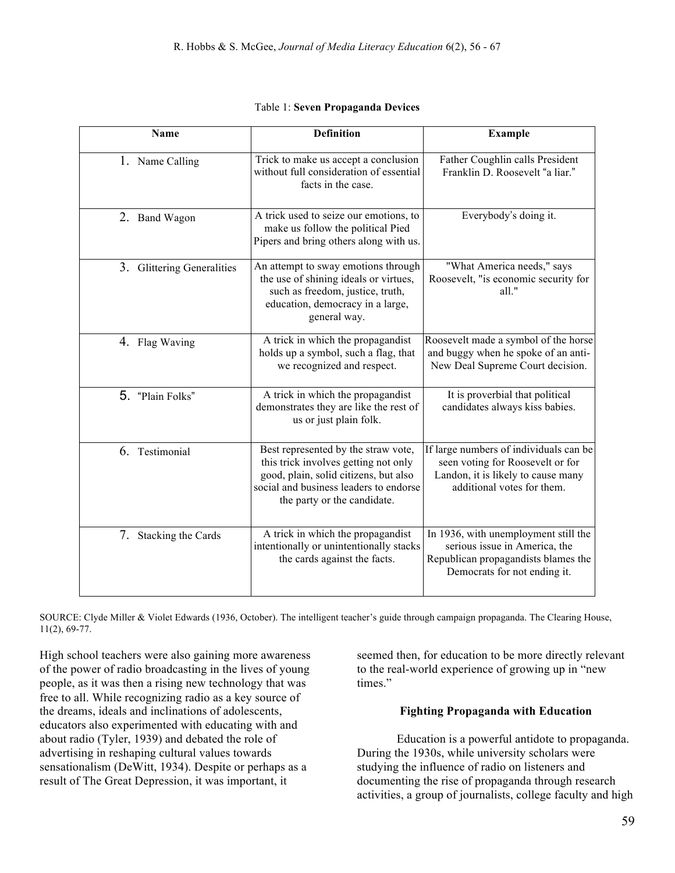| Name                       | <b>Definition</b>                                                                                                                                                                             | <b>Example</b>                                                                                                                                 |
|----------------------------|-----------------------------------------------------------------------------------------------------------------------------------------------------------------------------------------------|------------------------------------------------------------------------------------------------------------------------------------------------|
| 1. Name Calling            | Trick to make us accept a conclusion<br>without full consideration of essential<br>facts in the case.                                                                                         | Father Coughlin calls President<br>Franklin D. Roosevelt "a liar."                                                                             |
| 2. Band Wagon              | A trick used to seize our emotions, to<br>make us follow the political Pied<br>Pipers and bring others along with us.                                                                         | Everybody's doing it.                                                                                                                          |
| 3. Glittering Generalities | An attempt to sway emotions through<br>the use of shining ideals or virtues,<br>such as freedom, justice, truth,<br>education, democracy in a large,<br>general way.                          | "What America needs," says<br>Roosevelt, "is economic security for<br>all."                                                                    |
| 4. Flag Waving             | A trick in which the propagandist<br>holds up a symbol, such a flag, that<br>we recognized and respect.                                                                                       | Roosevelt made a symbol of the horse<br>and buggy when he spoke of an anti-<br>New Deal Supreme Court decision.                                |
| 5. "Plain Folks"           | A trick in which the propagandist<br>demonstrates they are like the rest of<br>us or just plain folk.                                                                                         | It is proverbial that political<br>candidates always kiss babies.                                                                              |
| 6. Testimonial             | Best represented by the straw vote,<br>this trick involves getting not only<br>good, plain, solid citizens, but also<br>social and business leaders to endorse<br>the party or the candidate. | If large numbers of individuals can be<br>seen voting for Roosevelt or for<br>Landon, it is likely to cause many<br>additional votes for them. |
| 7. Stacking the Cards      | A trick in which the propagandist<br>intentionally or unintentionally stacks<br>the cards against the facts.                                                                                  | In 1936, with unemployment still the<br>serious issue in America, the<br>Republican propagandists blames the<br>Democrats for not ending it.   |

| Table 1: Seven Propaganda Devices |  |
|-----------------------------------|--|
|-----------------------------------|--|

SOURCE: Clyde Miller & Violet Edwards (1936, October). The intelligent teacher's guide through campaign propaganda. The Clearing House, 11(2), 69-77.

High school teachers were also gaining more awareness of the power of radio broadcasting in the lives of young people, as it was then a rising new technology that was free to all. While recognizing radio as a key source of the dreams, ideals and inclinations of adolescents, educators also experimented with educating with and about radio (Tyler, 1939) and debated the role of advertising in reshaping cultural values towards sensationalism (DeWitt, 1934). Despite or perhaps as a result of The Great Depression, it was important, it

seemed then, for education to be more directly relevant to the real-world experience of growing up in "new times."

# **Fighting Propaganda with Education**

Education is a powerful antidote to propaganda. During the 1930s, while university scholars were studying the influence of radio on listeners and documenting the rise of propaganda through research activities, a group of journalists, college faculty and high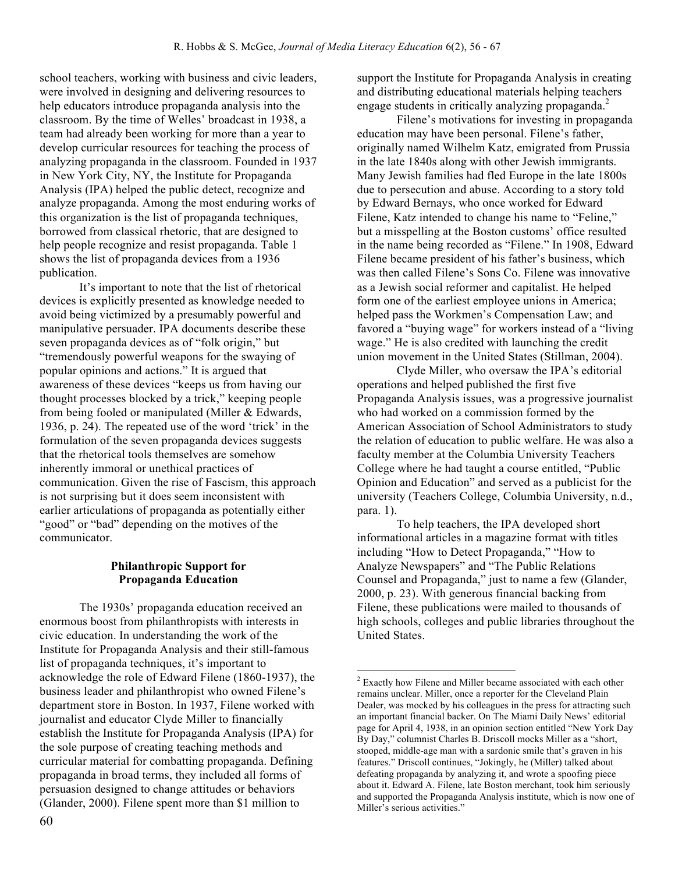school teachers, working with business and civic leaders, were involved in designing and delivering resources to help educators introduce propaganda analysis into the classroom. By the time of Welles' broadcast in 1938, a team had already been working for more than a year to develop curricular resources for teaching the process of analyzing propaganda in the classroom. Founded in 1937 in New York City, NY, the Institute for Propaganda Analysis (IPA) helped the public detect, recognize and analyze propaganda. Among the most enduring works of this organization is the list of propaganda techniques, borrowed from classical rhetoric, that are designed to help people recognize and resist propaganda. Table 1 shows the list of propaganda devices from a 1936 publication.

It's important to note that the list of rhetorical devices is explicitly presented as knowledge needed to avoid being victimized by a presumably powerful and manipulative persuader. IPA documents describe these seven propaganda devices as of "folk origin," but "tremendously powerful weapons for the swaying of popular opinions and actions." It is argued that awareness of these devices "keeps us from having our thought processes blocked by a trick," keeping people from being fooled or manipulated (Miller & Edwards, 1936, p. 24). The repeated use of the word 'trick' in the formulation of the seven propaganda devices suggests that the rhetorical tools themselves are somehow inherently immoral or unethical practices of communication. Given the rise of Fascism, this approach is not surprising but it does seem inconsistent with earlier articulations of propaganda as potentially either "good" or "bad" depending on the motives of the communicator.

# **Philanthropic Support for Propaganda Education**

The 1930s' propaganda education received an enormous boost from philanthropists with interests in civic education. In understanding the work of the Institute for Propaganda Analysis and their still-famous list of propaganda techniques, it's important to acknowledge the role of Edward Filene (1860-1937), the business leader and philanthropist who owned Filene's department store in Boston. In 1937, Filene worked with journalist and educator Clyde Miller to financially establish the Institute for Propaganda Analysis (IPA) for the sole purpose of creating teaching methods and curricular material for combatting propaganda. Defining propaganda in broad terms, they included all forms of persuasion designed to change attitudes or behaviors (Glander, 2000). Filene spent more than \$1 million to

support the Institute for Propaganda Analysis in creating and distributing educational materials helping teachers engage students in critically analyzing propaganda.<sup>2</sup>

Filene's motivations for investing in propaganda education may have been personal. Filene's father, originally named Wilhelm Katz, emigrated from Prussia in the late 1840s along with other Jewish immigrants. Many Jewish families had fled Europe in the late 1800s due to persecution and abuse. According to a story told by Edward Bernays, who once worked for Edward Filene, Katz intended to change his name to "Feline," but a misspelling at the Boston customs' office resulted in the name being recorded as "Filene." In 1908, Edward Filene became president of his father's business, which was then called Filene's Sons Co. Filene was innovative as a Jewish social reformer and capitalist. He helped form one of the earliest employee unions in America; helped pass the Workmen's Compensation Law; and favored a "buying wage" for workers instead of a "living wage." He is also credited with launching the credit union movement in the United States (Stillman, 2004).

Clyde Miller, who oversaw the IPA's editorial operations and helped published the first five Propaganda Analysis issues, was a progressive journalist who had worked on a commission formed by the American Association of School Administrators to study the relation of education to public welfare. He was also a faculty member at the Columbia University Teachers College where he had taught a course entitled, "Public Opinion and Education" and served as a publicist for the university (Teachers College, Columbia University, n.d., para. 1).

To help teachers, the IPA developed short informational articles in a magazine format with titles including "How to Detect Propaganda," "How to Analyze Newspapers" and "The Public Relations Counsel and Propaganda," just to name a few (Glander, 2000, p. 23). With generous financial backing from Filene, these publications were mailed to thousands of high schools, colleges and public libraries throughout the United States.

 <sup>2</sup> Exactly how Filene and Miller became associated with each other remains unclear. Miller, once a reporter for the Cleveland Plain Dealer, was mocked by his colleagues in the press for attracting such an important financial backer. On The Miami Daily News' editorial page for April 4, 1938, in an opinion section entitled "New York Day By Day," columnist Charles B. Driscoll mocks Miller as a "short, stooped, middle-age man with a sardonic smile that's graven in his features." Driscoll continues, "Jokingly, he (Miller) talked about defeating propaganda by analyzing it, and wrote a spoofing piece about it. Edward A. Filene, late Boston merchant, took him seriously and supported the Propaganda Analysis institute, which is now one of Miller's serious activities."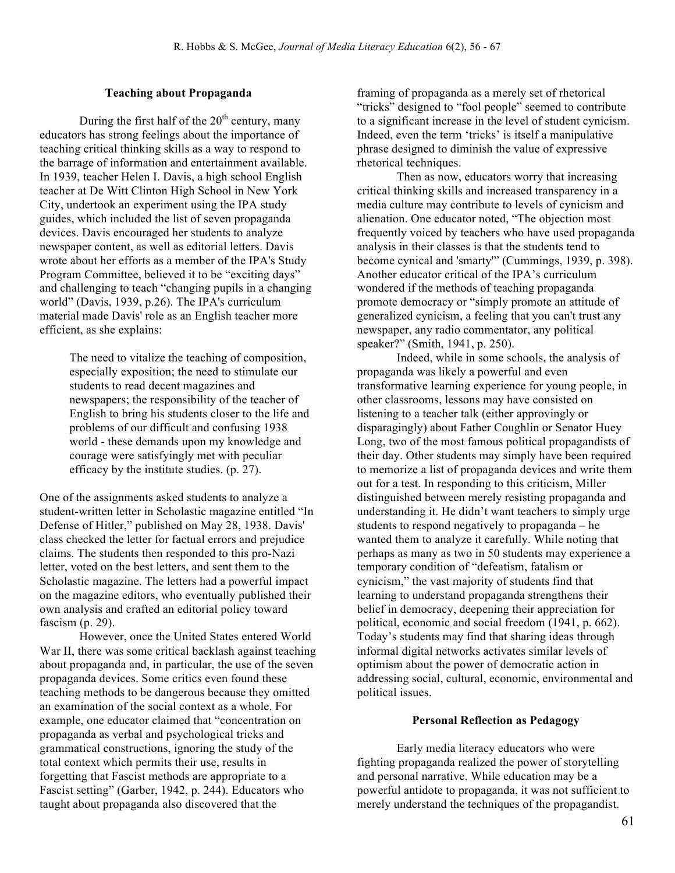#### **Teaching about Propaganda**

During the first half of the  $20<sup>th</sup>$  century, many educators has strong feelings about the importance of teaching critical thinking skills as a way to respond to the barrage of information and entertainment available. In 1939, teacher Helen I. Davis, a high school English teacher at De Witt Clinton High School in New York City, undertook an experiment using the IPA study guides, which included the list of seven propaganda devices. Davis encouraged her students to analyze newspaper content, as well as editorial letters. Davis wrote about her efforts as a member of the IPA's Study Program Committee, believed it to be "exciting days" and challenging to teach "changing pupils in a changing world" (Davis, 1939, p.26). The IPA's curriculum material made Davis' role as an English teacher more efficient, as she explains:

> The need to vitalize the teaching of composition, especially exposition; the need to stimulate our students to read decent magazines and newspapers; the responsibility of the teacher of English to bring his students closer to the life and problems of our difficult and confusing 1938 world - these demands upon my knowledge and courage were satisfyingly met with peculiar efficacy by the institute studies. (p. 27).

One of the assignments asked students to analyze a student-written letter in Scholastic magazine entitled "In Defense of Hitler," published on May 28, 1938. Davis' class checked the letter for factual errors and prejudice claims. The students then responded to this pro-Nazi letter, voted on the best letters, and sent them to the Scholastic magazine. The letters had a powerful impact on the magazine editors, who eventually published their own analysis and crafted an editorial policy toward fascism (p. 29).

However, once the United States entered World War II, there was some critical backlash against teaching about propaganda and, in particular, the use of the seven propaganda devices. Some critics even found these teaching methods to be dangerous because they omitted an examination of the social context as a whole. For example, one educator claimed that "concentration on propaganda as verbal and psychological tricks and grammatical constructions, ignoring the study of the total context which permits their use, results in forgetting that Fascist methods are appropriate to a Fascist setting" (Garber, 1942, p. 244). Educators who taught about propaganda also discovered that the

framing of propaganda as a merely set of rhetorical "tricks" designed to "fool people" seemed to contribute to a significant increase in the level of student cynicism. Indeed, even the term 'tricks' is itself a manipulative phrase designed to diminish the value of expressive rhetorical techniques.

Then as now, educators worry that increasing critical thinking skills and increased transparency in a media culture may contribute to levels of cynicism and alienation. One educator noted, "The objection most frequently voiced by teachers who have used propaganda analysis in their classes is that the students tend to become cynical and 'smarty'" (Cummings, 1939, p. 398). Another educator critical of the IPA's curriculum wondered if the methods of teaching propaganda promote democracy or "simply promote an attitude of generalized cynicism, a feeling that you can't trust any newspaper, any radio commentator, any political speaker?" (Smith, 1941, p. 250).

Indeed, while in some schools, the analysis of propaganda was likely a powerful and even transformative learning experience for young people, in other classrooms, lessons may have consisted on listening to a teacher talk (either approvingly or disparagingly) about Father Coughlin or Senator Huey Long, two of the most famous political propagandists of their day. Other students may simply have been required to memorize a list of propaganda devices and write them out for a test. In responding to this criticism, Miller distinguished between merely resisting propaganda and understanding it. He didn't want teachers to simply urge students to respond negatively to propaganda – he wanted them to analyze it carefully. While noting that perhaps as many as two in 50 students may experience a temporary condition of "defeatism, fatalism or cynicism," the vast majority of students find that learning to understand propaganda strengthens their belief in democracy, deepening their appreciation for political, economic and social freedom (1941, p. 662). Today's students may find that sharing ideas through informal digital networks activates similar levels of optimism about the power of democratic action in addressing social, cultural, economic, environmental and political issues.

#### **Personal Reflection as Pedagogy**

Early media literacy educators who were fighting propaganda realized the power of storytelling and personal narrative. While education may be a powerful antidote to propaganda, it was not sufficient to merely understand the techniques of the propagandist.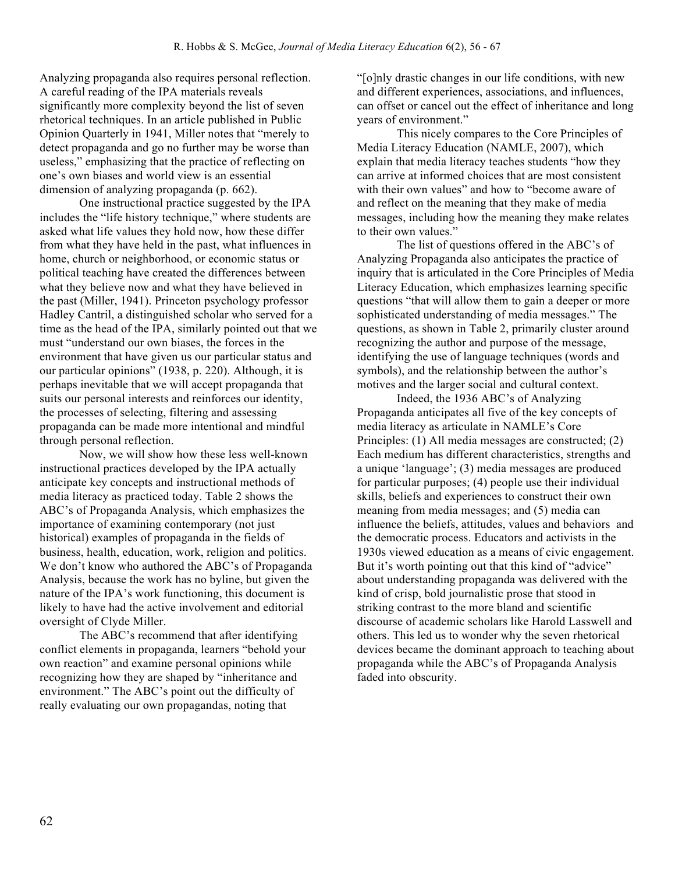Analyzing propaganda also requires personal reflection. A careful reading of the IPA materials reveals significantly more complexity beyond the list of seven rhetorical techniques. In an article published in Public Opinion Quarterly in 1941, Miller notes that "merely to detect propaganda and go no further may be worse than useless," emphasizing that the practice of reflecting on one's own biases and world view is an essential dimension of analyzing propaganda (p. 662).

One instructional practice suggested by the IPA includes the "life history technique," where students are asked what life values they hold now, how these differ from what they have held in the past, what influences in home, church or neighborhood, or economic status or political teaching have created the differences between what they believe now and what they have believed in the past (Miller, 1941). Princeton psychology professor Hadley Cantril, a distinguished scholar who served for a time as the head of the IPA, similarly pointed out that we must "understand our own biases, the forces in the environment that have given us our particular status and our particular opinions" (1938, p. 220). Although, it is perhaps inevitable that we will accept propaganda that suits our personal interests and reinforces our identity, the processes of selecting, filtering and assessing propaganda can be made more intentional and mindful through personal reflection.

Now, we will show how these less well-known instructional practices developed by the IPA actually anticipate key concepts and instructional methods of media literacy as practiced today. Table 2 shows the ABC's of Propaganda Analysis, which emphasizes the importance of examining contemporary (not just historical) examples of propaganda in the fields of business, health, education, work, religion and politics. We don't know who authored the ABC's of Propaganda Analysis, because the work has no byline, but given the nature of the IPA's work functioning, this document is likely to have had the active involvement and editorial oversight of Clyde Miller.

The ABC's recommend that after identifying conflict elements in propaganda, learners "behold your own reaction" and examine personal opinions while recognizing how they are shaped by "inheritance and environment." The ABC's point out the difficulty of really evaluating our own propagandas, noting that

"[o]nly drastic changes in our life conditions, with new and different experiences, associations, and influences, can offset or cancel out the effect of inheritance and long years of environment."

This nicely compares to the Core Principles of Media Literacy Education (NAMLE, 2007), which explain that media literacy teaches students "how they can arrive at informed choices that are most consistent with their own values" and how to "become aware of and reflect on the meaning that they make of media messages, including how the meaning they make relates to their own values."

The list of questions offered in the ABC's of Analyzing Propaganda also anticipates the practice of inquiry that is articulated in the Core Principles of Media Literacy Education, which emphasizes learning specific questions "that will allow them to gain a deeper or more sophisticated understanding of media messages." The questions, as shown in Table 2, primarily cluster around recognizing the author and purpose of the message, identifying the use of language techniques (words and symbols), and the relationship between the author's motives and the larger social and cultural context.

Indeed, the 1936 ABC's of Analyzing Propaganda anticipates all five of the key concepts of media literacy as articulate in NAMLE's Core Principles: (1) All media messages are constructed; (2) Each medium has different characteristics, strengths and a unique 'language'; (3) media messages are produced for particular purposes; (4) people use their individual skills, beliefs and experiences to construct their own meaning from media messages; and (5) media can influence the beliefs, attitudes, values and behaviors and the democratic process. Educators and activists in the 1930s viewed education as a means of civic engagement. But it's worth pointing out that this kind of "advice" about understanding propaganda was delivered with the kind of crisp, bold journalistic prose that stood in striking contrast to the more bland and scientific discourse of academic scholars like Harold Lasswell and others. This led us to wonder why the seven rhetorical devices became the dominant approach to teaching about propaganda while the ABC's of Propaganda Analysis faded into obscurity.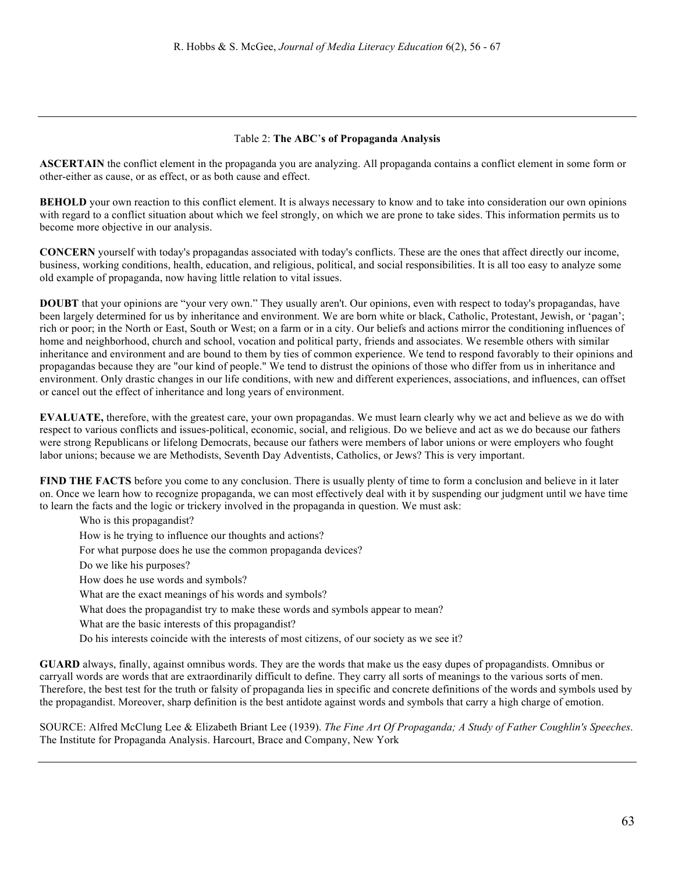#### Table 2: **The ABC**'**s of Propaganda Analysis**

**ASCERTAIN** the conflict element in the propaganda you are analyzing. All propaganda contains a conflict element in some form or other-either as cause, or as effect, or as both cause and effect.

**BEHOLD** your own reaction to this conflict element. It is always necessary to know and to take into consideration our own opinions with regard to a conflict situation about which we feel strongly, on which we are prone to take sides. This information permits us to become more objective in our analysis.

**CONCERN** yourself with today's propagandas associated with today's conflicts. These are the ones that affect directly our income, business, working conditions, health, education, and religious, political, and social responsibilities. It is all too easy to analyze some old example of propaganda, now having little relation to vital issues.

**DOUBT** that your opinions are "your very own." They usually aren't. Our opinions, even with respect to today's propagandas, have been largely determined for us by inheritance and environment. We are born white or black, Catholic, Protestant, Jewish, or 'pagan'; rich or poor; in the North or East, South or West; on a farm or in a city. Our beliefs and actions mirror the conditioning influences of home and neighborhood, church and school, vocation and political party, friends and associates. We resemble others with similar inheritance and environment and are bound to them by ties of common experience. We tend to respond favorably to their opinions and propagandas because they are "our kind of people." We tend to distrust the opinions of those who differ from us in inheritance and environment. Only drastic changes in our life conditions, with new and different experiences, associations, and influences, can offset or cancel out the effect of inheritance and long years of environment.

**EVALUATE,** therefore, with the greatest care, your own propagandas. We must learn clearly why we act and believe as we do with respect to various conflicts and issues-political, economic, social, and religious. Do we believe and act as we do because our fathers were strong Republicans or lifelong Democrats, because our fathers were members of labor unions or were employers who fought labor unions; because we are Methodists, Seventh Day Adventists, Catholics, or Jews? This is very important.

**FIND THE FACTS** before you come to any conclusion. There is usually plenty of time to form a conclusion and believe in it later on. Once we learn how to recognize propaganda, we can most effectively deal with it by suspending our judgment until we have time to learn the facts and the logic or trickery involved in the propaganda in question. We must ask:

Who is this propagandist?

How is he trying to influence our thoughts and actions?

For what purpose does he use the common propaganda devices?

Do we like his purposes?

How does he use words and symbols?

What are the exact meanings of his words and symbols?

What does the propagandist try to make these words and symbols appear to mean?

What are the basic interests of this propagandist?

Do his interests coincide with the interests of most citizens, of our society as we see it?

**GUARD** always, finally, against omnibus words. They are the words that make us the easy dupes of propagandists. Omnibus or carryall words are words that are extraordinarily difficult to define. They carry all sorts of meanings to the various sorts of men. Therefore, the best test for the truth or falsity of propaganda lies in specific and concrete definitions of the words and symbols used by the propagandist. Moreover, sharp definition is the best antidote against words and symbols that carry a high charge of emotion.

SOURCE: Alfred McClung Lee & Elizabeth Briant Lee (1939). *The Fine Art Of Propaganda; A Study of Father Coughlin's Speeches*. The Institute for Propaganda Analysis. Harcourt, Brace and Company, New York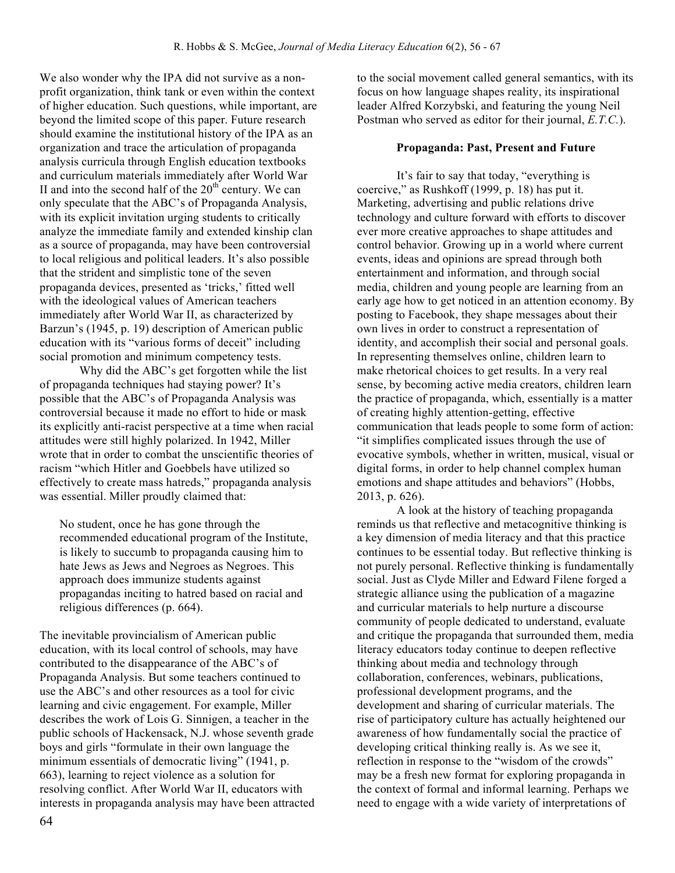We also wonder why the IPA did not survive as a nonprofit organization, think tank or even within the context of higher education. Such questions, while important, are beyond the limited scope of this paper. Future research should examine the institutional history of the IPA as an organization and trace the articulation of propaganda analysis curricula through English education textbooks and curriculum materials immediately after World War II and into the second half of the  $20<sup>th</sup>$  century. We can only speculate that the ABC's of Propaganda Analysis, with its explicit invitation urging students to critically analyze the immediate family and extended kinship clan as a source of propaganda, may have been controversial to local religious and political leaders. It's also possible that the strident and simplistic tone of the seven propaganda devices, presented as 'tricks,' fitted well with the ideological values of American teachers immediately after World War II, as characterized by Barzun's (1945, p. 19) description of American public education with its "various forms of deceit" including social promotion and minimum competency tests.

Why did the ABC's get forgotten while the list of propaganda techniques had staying power? It's possible that the ABC's of Propaganda Analysis was controversial because it made no effort to hide or mask its explicitly anti-racist perspective at a time when racial attitudes were still highly polarized. In 1942, Miller wrote that in order to combat the unscientific theories of racism "which Hitler and Goebbels have utilized so effectively to create mass hatreds," propaganda analysis was essential. Miller proudly claimed that:

No student, once he has gone through the recommended educational program of the Institute, is likely to succumb to propaganda causing him to hate Jews as Jews and Negroes as Negroes. This approach does immunize students against propagandas inciting to hatred based on racial and religious differences (p. 664).

The inevitable provincialism of American public education, with its local control of schools, may have contributed to the disappearance of the ABC's of Propaganda Analysis. But some teachers continued to use the ABC's and other resources as a tool for civic learning and civic engagement. For example, Miller describes the work of Lois G. Sinnigen, a teacher in the public schools of Hackensack, N.J. whose seventh grade boys and girls "formulate in their own language the minimum essentials of democratic living" (1941, p. 663), learning to reject violence as a solution for resolving conflict. After World War II, educators with interests in propaganda analysis may have been attracted to the social movement called general semantics, with its focus on how language shapes reality, its inspirational leader Alfred Korzybski, and featuring the young Neil Postman who served as editor for their journal, *E.T.C.*).

#### **Propaganda: Past, Present and Future**

It's fair to say that today, "everything is coercive," as Rushkoff (1999, p. 18) has put it. Marketing, advertising and public relations drive technology and culture forward with efforts to discover ever more creative approaches to shape attitudes and control behavior. Growing up in a world where current events, ideas and opinions are spread through both entertainment and information, and through social media, children and young people are learning from an early age how to get noticed in an attention economy. By posting to Facebook, they shape messages about their own lives in order to construct a representation of identity, and accomplish their social and personal goals. In representing themselves online, children learn to make rhetorical choices to get results. In a very real sense, by becoming active media creators, children learn the practice of propaganda, which, essentially is a matter of creating highly attention-getting, effective communication that leads people to some form of action: "it simplifies complicated issues through the use of evocative symbols, whether in written, musical, visual or digital forms, in order to help channel complex human emotions and shape attitudes and behaviors" (Hobbs, 2013, p. 626).

A look at the history of teaching propaganda reminds us that reflective and metacognitive thinking is a key dimension of media literacy and that this practice continues to be essential today. But reflective thinking is not purely personal. Reflective thinking is fundamentally social. Just as Clyde Miller and Edward Filene forged a strategic alliance using the publication of a magazine and curricular materials to help nurture a discourse community of people dedicated to understand, evaluate and critique the propaganda that surrounded them, media literacy educators today continue to deepen reflective thinking about media and technology through collaboration, conferences, webinars, publications, professional development programs, and the development and sharing of curricular materials. The rise of participatory culture has actually heightened our awareness of how fundamentally social the practice of developing critical thinking really is. As we see it, reflection in response to the "wisdom of the crowds" may be a fresh new format for exploring propaganda in the context of formal and informal learning. Perhaps we need to engage with a wide variety of interpretations of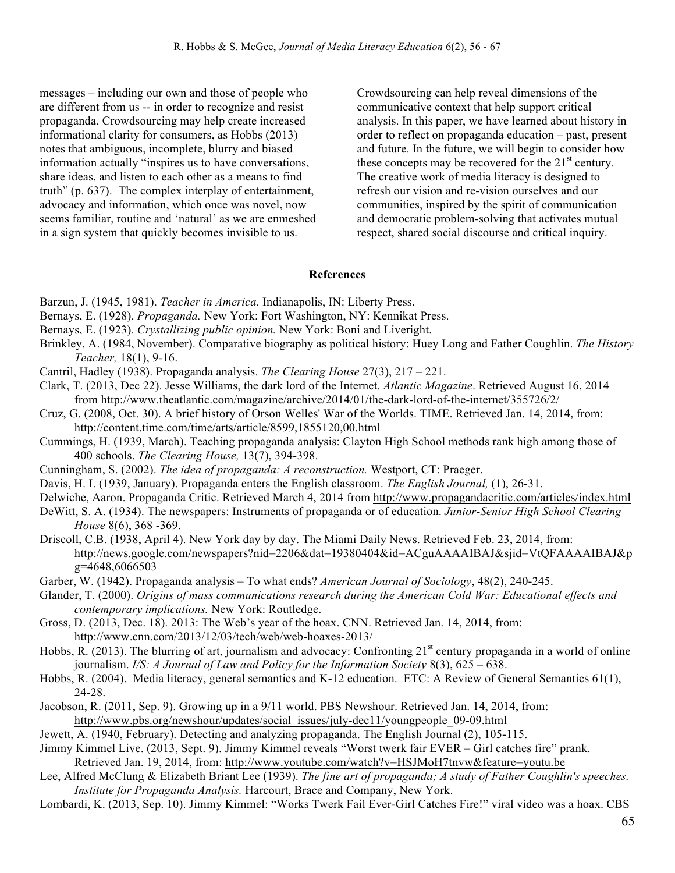messages – including our own and those of people who are different from us -- in order to recognize and resist propaganda. Crowdsourcing may help create increased informational clarity for consumers, as Hobbs (2013) notes that ambiguous, incomplete, blurry and biased information actually "inspires us to have conversations, share ideas, and listen to each other as a means to find truth" (p. 637). The complex interplay of entertainment, advocacy and information, which once was novel, now seems familiar, routine and 'natural' as we are enmeshed in a sign system that quickly becomes invisible to us.

Crowdsourcing can help reveal dimensions of the communicative context that help support critical analysis. In this paper, we have learned about history in order to reflect on propaganda education – past, present and future. In the future, we will begin to consider how these concepts may be recovered for the  $21<sup>st</sup>$  century. The creative work of media literacy is designed to refresh our vision and re-vision ourselves and our communities, inspired by the spirit of communication and democratic problem-solving that activates mutual respect, shared social discourse and critical inquiry.

#### **References**

- Barzun, J. (1945, 1981). *Teacher in America.* Indianapolis, IN: Liberty Press.
- Bernays, E. (1928). *Propaganda.* New York: Fort Washington, NY: Kennikat Press.
- Bernays, E. (1923). *Crystallizing public opinion.* New York: Boni and Liveright.
- Brinkley, A. (1984, November). Comparative biography as political history: Huey Long and Father Coughlin. *The History Teacher,* 18(1), 9-16.
- Cantril, Hadley (1938). Propaganda analysis. *The Clearing House* 27(3), 217 221.
- Clark, T. (2013, Dec 22). Jesse Williams, the dark lord of the Internet. *Atlantic Magazine*. Retrieved August 16, 2014 from http://www.theatlantic.com/magazine/archive/2014/01/the-dark-lord-of-the-internet/355726/2/
- Cruz, G. (2008, Oct. 30). A brief history of Orson Welles' War of the Worlds. TIME. Retrieved Jan. 14, 2014, from: http://content.time.com/time/arts/article/8599,1855120,00.html
- Cummings, H. (1939, March). Teaching propaganda analysis: Clayton High School methods rank high among those of 400 schools. *The Clearing House,* 13(7), 394-398.
- Cunningham, S. (2002). *The idea of propaganda: A reconstruction.* Westport, CT: Praeger.
- Davis, H. I. (1939, January). Propaganda enters the English classroom. *The English Journal,* (1), 26-31.
- Delwiche, Aaron. Propaganda Critic. Retrieved March 4, 2014 from http://www.propagandacritic.com/articles/index.html
- DeWitt, S. A. (1934). The newspapers: Instruments of propaganda or of education. *Junior-Senior High School Clearing House* 8(6), 368 -369.
- Driscoll, C.B. (1938, April 4). New York day by day. The Miami Daily News. Retrieved Feb. 23, 2014, from: http://news.google.com/newspapers?nid=2206&dat=19380404&id=ACguAAAAIBAJ&sjid=VtQFAAAAIBAJ&p g=4648,6066503
- Garber, W. (1942). Propaganda analysis To what ends? *American Journal of Sociology*, 48(2), 240-245.
- Glander, T. (2000). *Origins of mass communications research during the American Cold War: Educational effects and contemporary implications.* New York: Routledge.
- Gross, D. (2013, Dec. 18). 2013: The Web's year of the hoax. CNN. Retrieved Jan. 14, 2014, from: http://www.cnn.com/2013/12/03/tech/web/web-hoaxes-2013/
- Hobbs, R. (2013). The blurring of art, journalism and advocacy: Confronting  $21<sup>st</sup>$  century propaganda in a world of online journalism. *I/S: A Journal of Law and Policy for the Information Society* 8(3), 625 – 638.
- Hobbs, R. (2004). Media literacy, general semantics and K-12 education. ETC: A Review of General Semantics 61(1), 24-28.
- Jacobson, R. (2011, Sep. 9). Growing up in a 9/11 world. PBS Newshour. Retrieved Jan. 14, 2014, from: http://www.pbs.org/newshour/updates/social\_issues/july-dec11/youngpeople\_09-09.html
- Jewett, A. (1940, February). Detecting and analyzing propaganda. The English Journal (2), 105-115.
- Jimmy Kimmel Live. (2013, Sept. 9). Jimmy Kimmel reveals "Worst twerk fair EVER Girl catches fire" prank. Retrieved Jan. 19, 2014, from: http://www.youtube.com/watch?v=HSJMoH7tnvw&feature=youtu.be
- Lee, Alfred McClung & Elizabeth Briant Lee (1939). *The fine art of propaganda; A study of Father Coughlin's speeches. Institute for Propaganda Analysis.* Harcourt, Brace and Company, New York.
- Lombardi, K. (2013, Sep. 10). Jimmy Kimmel: "Works Twerk Fail Ever-Girl Catches Fire!" viral video was a hoax. CBS